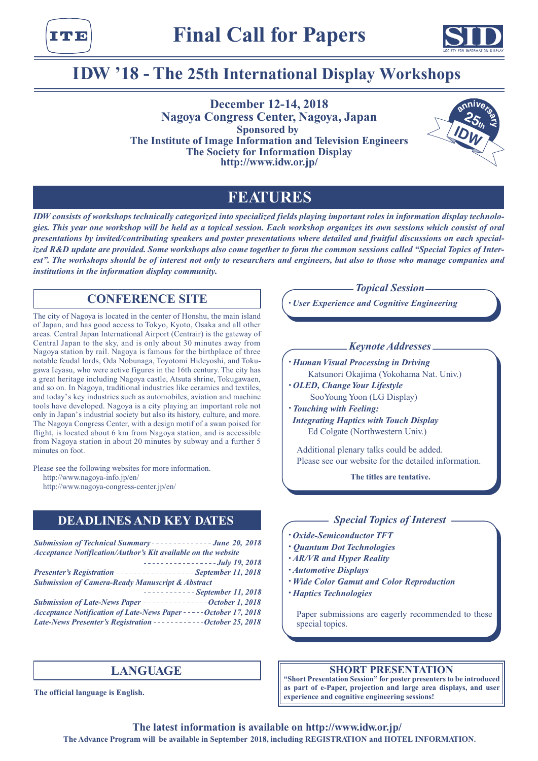



# **IDW '18 - The 25th International Display Workshops**

**December 12-14, 2018 Nagoya Congress Center, Nagoya, Japan Sponsored by The Institute of Image Information and Television Engineers The Society for Information Display http://www.idw.or.jp/**



## **FEATURES**

*IDW consists of workshops technically categorized into specialized fields playing important roles in information display technologies. This year one workshop will be held as a topical session. Each workshop organizes its own sessions which consist of oral presentations by invited/contributing speakers and poster presentations where detailed and fruitful discussions on each specialized R&D update are provided. Some workshops also come together to form the common sessions called "Special Topics of Interest". The workshops should be of interest not only to researchers and engineers, but also to those who manage companies and institutions in the information display community.*

## **CONFERENCE SITE**

The city of Nagoya is located in the center of Honshu, the main island of Japan, and has good access to Tokyo, Kyoto, Osaka and all other areas. Central Japan International Airport (Centrair) is the gateway of Central Japan to the sky, and is only about 30 minutes away from Nagoya station by rail. Nagoya is famous for the birthplace of three notable feudal lords, Oda Nobunaga, Toyotomi Hideyoshi, and Tokugawa Ieyasu, who were active figures in the 16th century. The city has a great heritage including Nagoya castle, Atsuta shrine, Tokugawaen, and so on. In Nagoya, traditional industries like ceramics and textiles, and today's key industries such as automobiles, aviation and machine tools have developed. Nagoya is a city playing an important role not only in Japan's industrial society but also its history, culture, and more. The Nagoya Congress Center, with a design motif of a swan poised for flight, is located about 6 km from Nagoya station, and is accessible from Nagoya station in about 20 minutes by subway and a further 5 minutes on foot.

Please see the following websites for more information.

http://www.nagoya-info.jp/en/

http://www.nagoya-congress-center.jp/en/

## **DEADLINES AND KEY DATES**

| <b>Submission of Technical Summary -------------- June 20, 2018</b>  |
|----------------------------------------------------------------------|
| <b>Acceptance Notification/Author's Kit available on the website</b> |
| $----------$                                                         |
| Presenter's Registration ----------------- September 11, 2018        |
| <b>Submission of Camera-Ready Manuscript &amp; Abstract</b>          |
| $------September 11, 2018$                                           |
| Submission of Late-News Paper ---------------October 1, 2018         |
| Acceptance Notification of Late-News Paper -----October 17, 2018     |
| Late-News Presenter's Registration -----------October 25, 2018       |

## **LANGUAGE**

**The official language is English.**

### *Topical Session*

*• User Experience and Cognitive Engineering*

### *Keynote Addresses*

- *• Human Visual Processing in Driving* Katsunori Okajima (Yokohama Nat. Univ.)
- *• OLED, Change Your Lifestyle* SooYoung Yoon (LG Display)
- *• Touching with Feeling: Integrating Haptics with Touch Display* Ed Colgate (Northwestern Univ.)

Additional plenary talks could be added. Please see our website for the detailed information.

**The titles are tentative.**

### *Special Topics of Interest*

- *• Oxide-Semiconductor TFT*
- *• Quantum Dot Technologies*
- *• AR/VR and Hyper Reality*
- *• Automotive Displays*
- *• Wide Color Gamut and Color Reproduction*
- *• Haptics Technologies*

Paper submissions are eagerly recommended to these special topics.

### **SHORT PRESENTATION**

**"Short Presentation Session" for poster presenters to be introduced as part of e-Paper, projection and large area displays, and user experience and cognitive engineering sessions!**

**The latest information is available on http://www.idw.or.jp/ The Advance Program will be available in September 2018, including REGISTRATION and HOTEL INFORMATION.**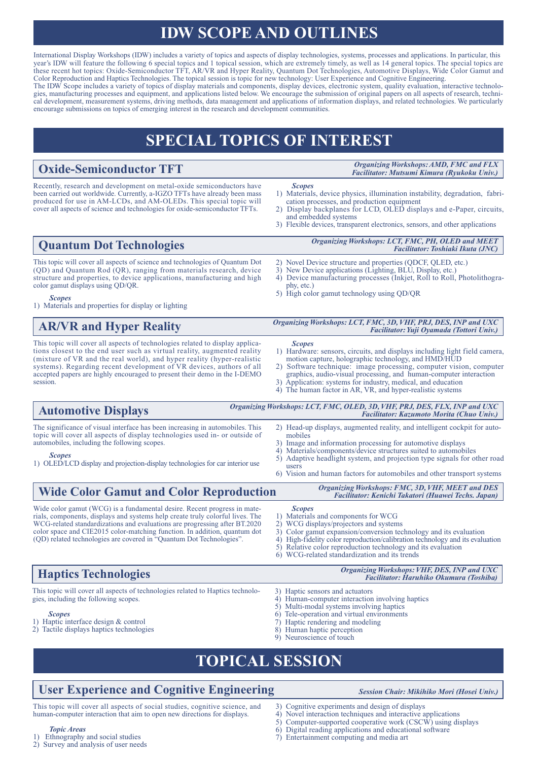# **IDW SCOPE AND OUTLINES**

International Display Workshops (IDW) includes a variety of topics and aspects of display technologies, systems, processes and applications. In particular, this year's IDW will feature the following 6 special topics and 1 topical session, which are extremely timely, as well as 14 general topics. The special topics are these recent hot topics: Oxide-Semiconductor TFT, AR/VR and Hyper Reality, Quantum Dot Technologies, Automotive Displays, Wide Color Gamut and Color Reproduction and Haptics Technologies. The topical session is topic for new technology: User Experience and Cognitive Engineering. The IDW Scope includes a variety of topics of display materials and components, display devices, electronic system, quality evaluation, interactive technologies, manufacturing processes and equipment, and applications listed below. We encourage the submission of original papers on all aspects of research, technical development, measurement systems, driving methods, data management and applications of information displays, and related technologies. We particularly

# **SPECIAL TOPICS OF INTEREST**

## **Oxide-Semiconductor TFT**

**Quantum Dot Technologies**

*Organizing Workshops: AMD, FMC and FLX Facilitator: Mutsumi Kimura (Ryukoku Univ.)*

Recently, research and development on metal-oxide semiconductors have been carried out worldwide. Currently, a-IGZO TFTs have already been mass produced for use in AM-LCDs, and AM-OLEDs. This special topic will cover all aspects of science and technologies for oxide-semiconductor TFTs.

This topic will cover all aspects of science and technologies of Quantum Dot (QD) and Quantum Rod (QR), ranging from materials research, device structure and properties, to device applications, manufacturing and high

encourage submissions on topics of emerging interest in the research and development communities.

- 1) Materials, device physics, illumination instability, degradation, fabrication processes, and production equipment
- 2) Display backplanes for LCD, OLED displays and e-Paper, circuits, and embedded systems
- 3) Flexible devices, transparent electronics, sensors, and other applications

*Organizing Workshops: LCT, FMC, PH, OLED and MEET Facilitator: Toshiaki Ikuta (JNC)*

- 2) Novel Device structure and properties (QDCF, QLED, etc.)
- 3) New Device applications (Lighting, BLU, Display, etc.)
- 4) Device manufacturing processes (Inkjet, Roll to Roll, Photolithogra- phy, etc.)
- 5) High color gamut technology using QD/QR

#### *Scopes* 1) Materials and properties for display or lighting

automobiles, including the following scopes.

*Scopes*

color gamut displays using QD/QR.

## **AR/VR and Hyper Reality**

This topic will cover all aspects of technologies related to display applications closest to the end user such as virtual reality, augmented reality (mixture of VR and the real world), and hyper reality (hyper-realistic systems). Regarding recent development of VR devices, authors of all accepted papers are highly encouraged to present their demo in the I-DEMO session.

topic will cover all aspects of display technologies used in- or outside of

1) OLED/LCD display and projection-display technologies for car interior use

*Organizing Workshops: LCT, FMC, 3D, VHF, PRJ, DES, INP and UXC Facilitator: Yuji Oyamada (Tottori Univ.)*

#### *Scopes*

*Scopes*

- 1) Hardware: sensors, circuits, and displays including light field camera, motion capture, holographic technology, and HMD/HUD
- 2) Software technique: image processing, computer vision, computer graphics, audio-visual processing, and human-computer interaction
- 3) Application: systems for industry, medical, and education 4) The human factor in AR, VR, and hyper-realistic systems
- The significance of visual interface has been increasing in automobiles. This **Automotive Displays** 2) Head-up displays, augmented reality, and intelligent cockpit for auto-*Organizing Workshops: LCT, FMC, OLED, 3D, VHF, PRJ, DES, FLX, INP and UXC Facilitator: Kazumoto Morita (Chuo Univ.)*
	- mobiles
	- 3) Image and information processing for automotive displays 4) Materials/components/device structures suited to automob
	- 4) Materials/components/device structures suited to automobiles 5) Adaptive headlight system, and projection type signals for o 5) Adaptive headlight system, and projection type signals for other road
	- users 6) Vision and human factors for automobiles and other transport systems

*Organizing Workshops: FMC, 3D, VHF, MEET and DES Facilitator: Kenichi Takatori (Huawei Techs. Japan)*

## **Wide Color Gamut and Color Reproduction**

Wide color gamut (WCG) is a fundamental desire. Recent progress in materials, components, displays and systems help create truly colorful lives. The WCG-related standardizations and evaluations are progressing after BT.2020 color space and CIE2015 color-matching function. In addition, quantum dot (QD) related technologies are covered in "Quantum Dot Technologies".

#### *Scopes*

- Materials and components for WCG
- 2) WCG displays/projectors and systems<br>3) Color gamut expansion/conversion tec
- 3) Color gamut expansion/conversion technology and its evaluation
- 4) High-fidelity color reproduction/calibration technology and its evaluation 5) Relative color reproduction technology and its evaluation
- Relative color reproduction technology and its evaluation
- 6) WCG-related standardization and its trends

| <b>Haptics Technologies</b>                                                                                             | <b>Organizing Workshops: VHF, DES, INP and UXC</b><br><b>Facilitator: Haruhiko Okumura (Toshiba)</b> |
|-------------------------------------------------------------------------------------------------------------------------|------------------------------------------------------------------------------------------------------|
| This topic will cover all aspects of technologies related to Haptics technolo-<br>gies, including the following scopes. | 3) Haptic sensors and actuators<br>4) Human-computer interaction involving haptics                   |
| <b>Scopes</b>                                                                                                           | 5) Multi-modal systems involving haptics<br>6) Tele-operation and virtual environments               |
| 1) Haptic interface design & control                                                                                    | 7) Haptic rendering and modeling                                                                     |
| 2) Tactile displays haptics technologies                                                                                | 8) Human haptic perception                                                                           |
|                                                                                                                         | 9) Neuroscience of touch                                                                             |

# **TOPICAL SESSION**

## **User Experience and Cognitive Engineering**

This topic will cover all aspects of social studies, cognitive science, and human-computer interaction that aim to open new directions for displays.

*Topic Areas* Ethnography and social studies

2) Survey and analysis of user needs

- *Session Chair: Mikihiko Mori (Hosei Univ.)*
- 3) Cognitive experiments and design of displays
- 4) Novel interaction techniques and interactive applications<br>5) Computer-supported cooperative work (CSCW) using di
- 5) Computer-supported cooperative work (CSCW) using displays<br>6) Digital reading applications and educational software
- Digital reading applications and educational software
- 7) Entertainment computing and media art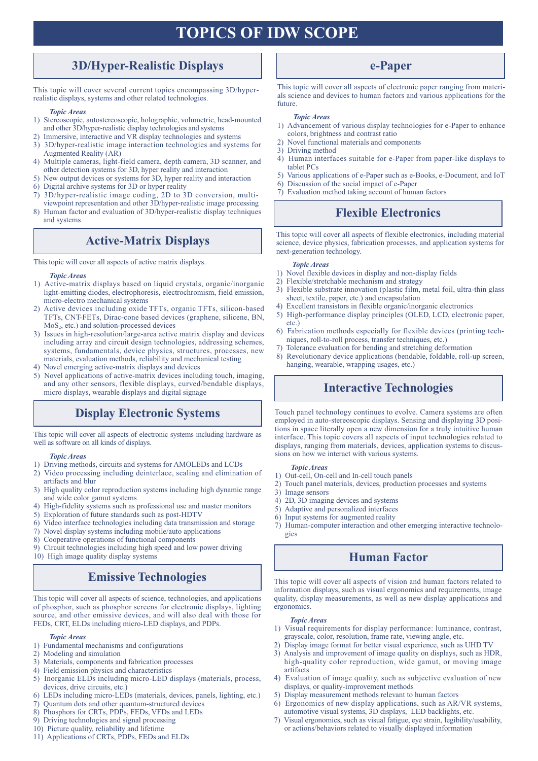# **TOPICS OF IDW SCOPE**

## **3D/Hyper-Realistic Displays**

This topic will cover several current topics encompassing 3D/hyperrealistic displays, systems and other related technologies.

### *Topic Areas*

- 1) Stereoscopic, autostereoscopic, holographic, volumetric, head-mounted and other 3D/hyper-realistic display technologies and systems
- 2) Immersive, interactive and VR display technologies and systems
- 3) 3D/hyper-realistic image interaction technologies and systems for Augmented Reality (AR)
- 4) Multiple cameras, light-field camera, depth camera, 3D scanner, and other detection systems for 3D, hyper reality and interaction
- 5) New output devices or systems for 3D, hyper reality and interaction
- 6) Digital archive systems for 3D or hyper reality
- 7) 3D/hyper-realistic image coding, 2D to 3D conversion, multiviewpoint representation and other 3D/hyper-realistic image processing
- 8) Human factor and evaluation of 3D/hyper-realistic display techniques and systems

## **Active-Matrix Displays**

This topic will cover all aspects of active matrix displays.

#### *Topic Areas*

- 1) Active-matrix displays based on liquid crystals, organic/inorganic light-emitting diodes, electrophoresis, electrochromism, field emission, micro-electro mechanical systems
- 2) Active devices including oxide TFTs, organic TFTs, silicon-based TFTs, CNT-FETs, Dirac-cone based devices (graphene, silicene, BN, MoS2, etc.) and solution-processed devices
- 3) Issues in high-resolution/large-area active matrix display and devices including array and circuit design technologies, addressing schemes, systems, fundamentals, device physics, structures, processes, new materials, evaluation methods, reliability and mechanical testing
- 4) Novel emerging active-matrix displays and devices
- 5) Novel applications of active-matrix devices including touch, imaging, and any other sensors, flexible displays, curved/bendable displays, micro displays, wearable displays and digital signage

## **Display Electronic Systems**

This topic will cover all aspects of electronic systems including hardware as well as software on all kinds of displays.

#### *Topic Areas*

- 1) Driving methods, circuits and systems for AMOLEDs and LCDs
- 2) Video processing including deinterlace, scaling and elimination of artifacts and blur
- 3) High quality color reproduction systems including high dynamic range and wide color gamut systems
- 4) High-fidelity systems such as professional use and master monitors
- 5) Exploration of future standards such as post-HDTV
- 6) Video interface technologies including data transmission and storage
- 7) Novel display systems including mobile/auto applications
- 8) Cooperative operations of functional components
- 9) Circuit technologies including high speed and low power driving 10) High image quality display systems

## **Emissive Technologies**

This topic will cover all aspects of science, technologies, and applications of phosphor, such as phosphor screens for electronic displays, lighting source, and other emissive devices, and will also deal with those for FEDs, CRT, ELDs including micro-LED displays, and PDPs.

#### *Topic Areas*

- 1) Fundamental mechanisms and configurations
- 2) Modeling and simulation
- 3) Materials, components and fabrication processes
- 4) Field emission physics and characteristics
- 5) Inorganic ELDs including micro-LED displays (materials, process, devices, drive circuits, etc.)
- 6) LEDs including micro-LEDs (materials, devices, panels, lighting, etc.)
- 7) Quantum dots and other quantum-structured devices
- 8) Phosphors for CRTs, PDPs, FEDs, VFDs and LEDs
- 9) Driving technologies and signal processing
- 10) Picture quality, reliability and lifetime
- 11) Applications of CRTs, PDPs, FEDs and ELDs

## **e-Paper**

This topic will cover all aspects of electronic paper ranging from materials science and devices to human factors and various applications for the future.

#### *Topic Areas*

- 1) Advancement of various display technologies for e-Paper to enhance colors, brightness and contrast ratio
- 2) Novel functional materials and components
- 3) Driving method
- 4) Human interfaces suitable for e-Paper from paper-like displays to tablet PCs
- 5) Various applications of e-Paper such as e-Books, e-Document, and IoT
- 6) Discussion of the social impact of e-Paper
- 7) Evaluation method taking account of human factors

## **Flexible Electronics**

This topic will cover all aspects of flexible electronics, including material science, device physics, fabrication processes, and application systems for next-generation technology.

#### *Topic Areas*

- 1) Novel flexible devices in display and non-display fields
- 2) Flexible/stretchable mechanism and strategy
- 3) Flexible substrate innovation (plastic film, metal foil, ultra-thin glass sheet, textile, paper, etc.) and encapsulation
- 4) Excellent transistors in flexible organic/inorganic electronics
- 5) High-performance display principles (OLED, LCD, electronic paper, etc.)
- 6) Fabrication methods especially for flexible devices (printing techniques, roll-to-roll process, transfer techniques, etc.)
- 7) Tolerance evaluation for bending and stretching deformation
- 8) Revolutionary device applications (bendable, foldable, roll-up screen, hanging, wearable, wrapping usages, etc.)

## **Interactive Technologies**

Touch panel technology continues to evolve. Camera systems are often employed in auto-stereoscopic displays. Sensing and displaying 3D positions in space literally open a new dimension for a truly intuitive human interface. This topic covers all aspects of input technologies related to displays, ranging from materials, devices, application systems to discussions on how we interact with various systems.

#### *Topic Areas*

- 1) Out-cell, On-cell and In-cell touch panels
- 2) Touch panel materials, devices, production processes and systems
- 3) Image sensors
- 4) 2D, 3D imaging devices and systems
- 5) Adaptive and personalized interfaces
- 6) Input systems for augmented reality
- 7) Human-computer interaction and other emerging interactive technologies

## **Human Factor**

This topic will cover all aspects of vision and human factors related to information displays, such as visual ergonomics and requirements, image quality, display measurements, as well as new display applications and ergonomics.

#### *Topic Areas*

- 1) Visual requirements for display performance: luminance, contrast, grayscale, color, resolution, frame rate, viewing angle, etc.
- 2) Display image format for better visual experience, such as UHD TV
- 3) Analysis and improvement of image quality on displays, such as HDR, high-quality color reproduction, wide gamut, or moving image artifacts
- 4) Evaluation of image quality, such as subjective evaluation of new displays, or quality-improvement methods
- 5) Display measurement methods relevant to human factors
- 6) Ergonomics of new display applications, such as AR/VR systems,
- automotive visual systems, 3D displays, LED backlights, etc. 7) Visual ergonomics, such as visual fatigue, eye strain, legibility/usability, or actions/behaviors related to visually displayed information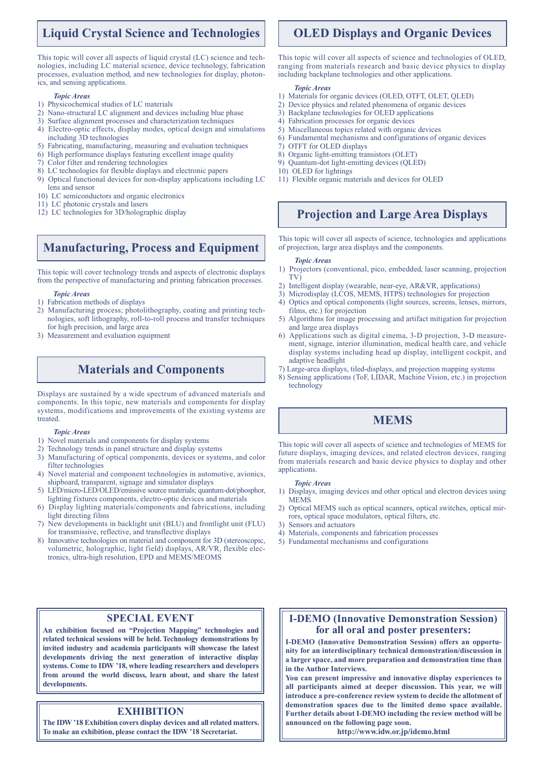## **Liquid Crystal Science and Technologies**

This topic will cover all aspects of liquid crystal (LC) science and technologies, including LC material science, device technology, fabrication processes, evaluation method, and new technologies for display, photonics, and sensing applications.

#### *Topic Areas*

- 1) Physicochemical studies of LC materials
- 2) Nano-structural LC alignment and devices including blue phase
- 3) Surface alignment processes and characterization techniques
- 4) Electro-optic effects, display modes, optical design and simulations including 3D technologies
- 5) Fabricating, manufacturing, measuring and evaluation techniques
- 6) High performance displays featuring excellent image quality
- 7) Color filter and rendering technologies
- 8) LC technologies for flexible displays and electronic papers
- 9) Optical functional devices for non-display applications including LC lens and sensor
- 10) LC semiconductors and organic electronics
- 11) LC photonic crystals and lasers
- 12) LC technologies for 3D/holographic display

## **Manufacturing, Process and Equipment**

This topic will cover technology trends and aspects of electronic displays from the perspective of manufacturing and printing fabrication processes.

#### *Topic Areas*

- 1) Fabrication methods of displays
- 2) Manufacturing process; photolithography, coating and printing technologies, soft lithography, roll-to-roll process and transfer techniques for high precision, and large area
- 3) Measurement and evaluation equipment

## **Materials and Components**

Displays are sustained by a wide spectrum of advanced materials and components. In this topic, new materials and components for display systems, modifications and improvements of the existing systems are treated.

#### *Topic Areas*

- 1) Novel materials and components for display systems
- 2) Technology trends in panel structure and display systems
- 3) Manufacturing of optical components, devices or systems, and color filter technologies
- 4) Novel material and component technologies in automotive, avionics, shipboard, transparent, signage and simulator displays
- 5) LED/micro-LED/OLED/emissive source materials; quantum-dot/phosphor, lighting fixtures components, electro-optic devices and materials
- 6) Display lighting materials/components and fabrications, including light directing films
- 7) New developments in backlight unit (BLU) and frontlight unit (FLU) for transmissive, reflective, and transflective displays
- 8) Innovative technologies on material and component for 3D (stereoscopic, volumetric, holographic, light field) displays, AR/VR, flexible electronics, ultra-high resolution, EPD and MEMS/MEOMS

### **SPECIAL EVENT**

**An exhibition focused on "Projection Mapping" technologies and related technical sessions will be held. Technology demonstrations by invited industry and academia participants will showcase the latest developments driving the next generation of interactive display systems. Come to IDW '18, where leading researchers and developers from around the world discuss, learn about, and share the latest developments.**

### **EXHIBITION**

**The IDW '18 Exhibition covers display devices and all related matters. To make an exhibition, please contact the IDW '18 Secretariat.**

## **OLED Displays and Organic Devices**

This topic will cover all aspects of science and technologies of OLED, ranging from materials research and basic device physics to display including backplane technologies and other applications.

#### *Topic Areas*

- 1) Materials for organic devices (OLED, OTFT, OLET, QLED)
- 2) Device physics and related phenomena of organic devices
- 3) Backplane technologies for OLED applications
- 4) Fabrication processes for organic devices
- 5) Miscellaneous topics related with organic devices
- 6) Fundamental mechanisms and configurations of organic devices
- 7) OTFT for OLED displays
- 8) Organic light-emitting transistors (OLET)
- 9) Quantum-dot light-emitting devices (QLED)
- 10) OLED for lightings
- 11) Flexible organic materials and devices for OLED

## **Projection and Large Area Displays**

This topic will cover all aspects of science, technologies and applications of projection, large area displays and the components.

#### *Topic Areas*

- 1) Projectors (conventional, pico, embedded, laser scanning, projection TV)
- 2) Intelligent display (wearable, near-eye, AR&VR, applications)
- 3) Microdisplay (LCOS, MEMS, HTPS) technologies for projection
- 4) Optics and optical components (light sources, screens, lenses, mirrors, films, etc.) for projection
- 5) Algorithms for image processing and artifact mitigation for projection and large area displays
- 6) Applications such as digital cinema, 3-D projection, 3-D measurement, signage, interior illumination, medical health care, and vehicle display systems including head up display, intelligent cockpit, and adaptive headlight
- 7) Large-area displays, tiled-displays, and projection mapping systems
- 8) Sensing applications (ToF, LIDAR, Machine Vision, etc.) in projection technology

## **MEMS**

This topic will cover all aspects of science and technologies of MEMS for future displays, imaging devices, and related electron devices, ranging from materials research and basic device physics to display and other applications.

#### *Topic Areas*

- 1) Displays, imaging devices and other optical and electron devices using MEMS
- 2) Optical MEMS such as optical scanners, optical switches, optical mirrors, optical space modulators, optical filters, etc.
- Sensors and actuators
- 4) Materials, components and fabrication processes
- 5) Fundamental mechanisms and configurations

### **I-DEMO (Innovative Demonstration Session) for all oral and poster presenters:**

**I-DEMO (Innovative Demonstration Session) offers an opportunity for an interdisciplinary technical demonstration/discussion in a larger space, and more preparation and demonstration time than in the Author Interviews.**

**You can present impressive and innovative display experiences to all participants aimed at deeper discussion. This year, we will introduce a pre-conference review system to decide the allotment of demonstration spaces due to the limited demo space available. Further details about I-DEMO including the review method will be announced on the following page soon.**

**http://www.idw.or.jp/idemo.html**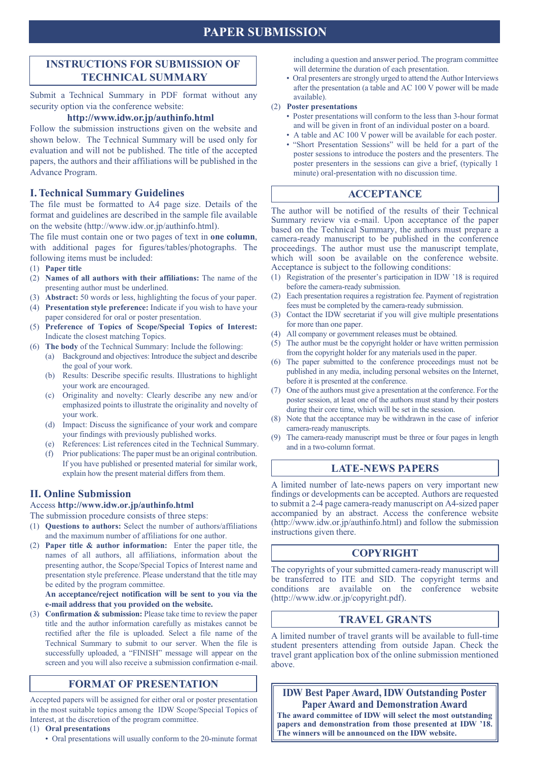## **PAPER SUBMISSION**

## **INSTRUCTIONS FOR SUBMISSION OF TECHNICAL SUMMARY**

Submit a Technical Summary in PDF format without any security option via the conference website:

### **http://www.idw.or.jp/authinfo.html**

Follow the submission instructions given on the website and shown below. The Technical Summary will be used only for evaluation and will not be published. The title of the accepted papers, the authors and their affiliations will be published in the Advance Program.

### **I. Technical Summary Guidelines**

The file must be formatted to A4 page size. Details of the format and guidelines are described in the sample file available on the website (http://www.idw.or.jp/authinfo.html).

The file must contain one or two pages of text in **one column**, with additional pages for figures/tables/photographs. The following items must be included:

- (1) **Paper title**
- (2) **Names of all authors with their affiliations:** The name of the presenting author must be underlined.
- (3) **Abstract:** 50 words or less, highlighting the focus of your paper.
- (4) **Presentation style preference:** Indicate if you wish to have your paper considered for oral or poster presentation.
- (5) **Preference of Topics of Scope/Special Topics of Interest:** Indicate the closest matching Topics.
- (6) **The body** of the Technical Summary: Include the following:
	- (a) Background and objectives: Introduce the subject and describe the goal of your work.
	- (b) Results: Describe specific results. Illustrations to highlight your work are encouraged.
	- (c) Originality and novelty: Clearly describe any new and/or emphasized points to illustrate the originality and novelty of your work.
	- (d) Impact: Discuss the significance of your work and compare your findings with previously published works.
	- (e) References: List references cited in the Technical Summary.
	- (f) Prior publications: The paper must be an original contribution. If you have published or presented material for similar work, explain how the present material differs from them.

### **II. Online Submission**

### Access **http://www.idw.or.jp/authinfo.html**

The submission procedure consists of three steps:

- (1) **Questions to authors:** Select the number of authors/affiliations and the maximum number of affiliations for one author.
- (2) **Paper title & author information:** Enter the paper title, the names of all authors, all affiliations, information about the presenting author, the Scope/Special Topics of Interest name and presentation style preference. Please understand that the title may be edited by the program committee.

**An acceptance/reject notification will be sent to you via the e-mail address that you provided on the website.**

(3) **Confirmation & submission:** Please take time to review the paper title and the author information carefully as mistakes cannot be rectified after the file is uploaded. Select a file name of the Technical Summary to submit to our server. When the file is successfully uploaded, a "FINISH" message will appear on the screen and you will also receive a submission confirmation e-mail.

### **FORMAT OF PRESENTATION**

Accepted papers will be assigned for either oral or poster presentation in the most suitable topics among the IDW Scope/Special Topics of Interest, at the discretion of the program committee.

- (1) **Oral presentations**
	- Oral presentations will usually conform to the 20-minute format

including a question and answer period. The program committee will determine the duration of each presentation.

• Oral presenters are strongly urged to attend the Author Interviews after the presentation (a table and AC 100 V power will be made available).

#### (2) **Poster presentations**

- Poster presentations will conform to the less than 3-hour format and will be given in front of an individual poster on a board.
- A table and AC 100 V power will be available for each poster. • "Short Presentation Sessions" will be held for a part of the poster sessions to introduce the posters and the presenters. The poster presenters in the sessions can give a brief, (typically 1 minute) oral-presentation with no discussion time.

### **ACCEPTANCE**

The author will be notified of the results of their Technical Summary review via e-mail. Upon acceptance of the paper based on the Technical Summary, the authors must prepare a camera-ready manuscript to be published in the conference proceedings. The author must use the manuscript template, which will soon be available on the conference website. Acceptance is subject to the following conditions:

- (1) Registration of the presenter's participation in IDW '18 is required before the camera-ready submission.
- (2) Each presentation requires a registration fee. Payment of registration fees must be completed by the camera-ready submission.
- (3) Contact the IDW secretariat if you will give multiple presentations for more than one paper.
- (4) All company or government releases must be obtained.
- (5) The author must be the copyright holder or have written permission from the copyright holder for any materials used in the paper.
- (6) The paper submitted to the conference proceedings must not be published in any media, including personal websites on the Internet, before it is presented at the conference.
- (7) One of the authors must give a presentation at the conference. For the poster session, at least one of the authors must stand by their posters during their core time, which will be set in the session.
- (8) Note that the acceptance may be withdrawn in the case of inferior camera-ready manuscripts.
- (9) The camera-ready manuscript must be three or four pages in length and in a two-column format.

### **LATE-NEWS PAPERS**

A limited number of late-news papers on very important new findings or developments can be accepted. Authors are requested to submit a 2-4 page camera-ready manuscript on A4-sized paper accompanied by an abstract. Access the conference website (http://www.idw.or.jp/authinfo.html) and follow the submission instructions given there.

## **COPYRIGHT**

The copyrights of your submitted camera-ready manuscript will be transferred to ITE and SID. The copyright terms and conditions are available on the conference website (http://www.idw.or.jp/copyright.pdf).

### **TRAVEL GRANTS**

A limited number of travel grants will be available to full-time student presenters attending from outside Japan. Check the travel grant application box of the online submission mentioned above.

**IDW Best Paper Award, IDW Outstanding Poster Paper Award and Demonstration Award**

**The award committee of IDW will select the most outstanding papers and demonstration from those presented at IDW '18. The winners will be announced on the IDW website.**